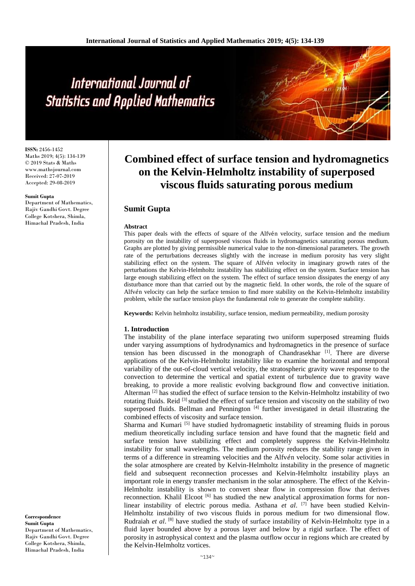**ISSN:** 2456-1452 Maths 2019; 4(5): 134-139 © 2019 Stats & Maths www.mathsjournal.com Received: 27-07-2019 Accepted: 29-08-2019

#### **Sumit Gupta**

Department of Mathematics, Rajiv Gandhi Govt. Degree College Kotshera, Shimla, Himachal Pradesh, India

# **Combined effect of surface tension and hydromagnetics on the Kelvin-Helmholtz instability of superposed viscous fluids saturating porous medium**

# **Sumit Gupta**

#### **Abstract**

This paper deals with the effects of square of the Alfvén velocity, surface tension and the medium porosity on the instability of superposed viscous fluids in hydromagnetics saturating porous medium. Graphs are plotted by giving permissible numerical value to the non-dimensional parameters. The growth rate of the perturbations decreases slightly with the increase in medium porosity has very slight stabilizing effect on the system. The square of Alfvén velocity in imaginary growth rates of the perturbations the Kelvin-Helmholtz instability has stabilizing effect on the system. Surface tension has large enough stabilizing effect on the system. The effect of surface tension dissipates the energy of any disturbance more than that carried out by the magnetic field. In other words, the role of the square of Alfv́n velocity can help the surface tension to find more stability on the Kelvin-Helmholtz instability problem, while the surface tension plays the fundamental role to generate the complete stability.

**Keywords:** Kelvin helmholtz instability, surface tension, medium permeability, medium porosity

#### **1. Introduction**

The instability of the plane interface separating two uniform superposed streaming fluids under varying assumptions of hydrodynamics and hydromagnetics in the presence of surface tension has been discussed in the monograph of Chandrasekhar  $\begin{bmatrix} 1 \end{bmatrix}$ . There are diverse applications of the Kelvin-Helmholtz instability like to examine the horizontal and temporal variability of the out-of-cloud vertical velocity, the stratospheric gravity wave response to the convection to determine the vertical and spatial extent of turbulence due to gravity wave breaking, to provide a more realistic evolving background flow and convective initiation. Alterman  $[2]$  has studied the effect of surface tension to the Kelvin-Helmholtz instability of two rotating fluids. Reid  $[3]$  studied the effect of surface tension and viscosity on the stability of two superposed fluids. Bellman and Pennington [4] further investigated in detail illustrating the combined effects of viscosity and surface tension.

Sharma and Kumari  $[5]$  have studied hydromagnetic instability of streaming fluids in porous medium theoretically including surface tension and have found that the magnetic field and surface tension have stabilizing effect and completely suppress the Kelvin-Helmholtz instability for small wavelengths. The medium porosity reduces the stability range given in terms of a difference in streaming velocities and the Alfv $\acute{e}$ n velocity. Some solar activities in the solar atmosphere are created by Kelvin-Helmholtz instability in the presence of magnetic field and subsequent reconnection processes and Kelvin-Helmholtz instability plays an important role in energy transfer mechanism in the solar atmosphere. The effect of the Kelvin-Helmholtz instability is shown to convert shear flow in compression flow that derives reconnection. Khalil Elcoot  $\left[6\right]$  has studied the new analytical approximation forms for nonlinear instability of electric porous media. Asthana *et al*. [7] have been studied Kelvin-Helmholtz instability of two viscous fluids in porous medium for two dimensional flow. Rudraiah *et al*. [8] have studied the study of surface instability of Kelvin-Helmholtz type in a fluid layer bounded above by a porous layer and below by a rigid surface. The effect of porosity in astrophysical context and the plasma outflow occur in regions which are created by the Kelvin-Helmholtz vortices.

**Correspondence Sumit Gupta** Department of Mathematics, Rajiv Gandhi Govt. Degree College Kotshera, Shimla, Himachal Pradesh, India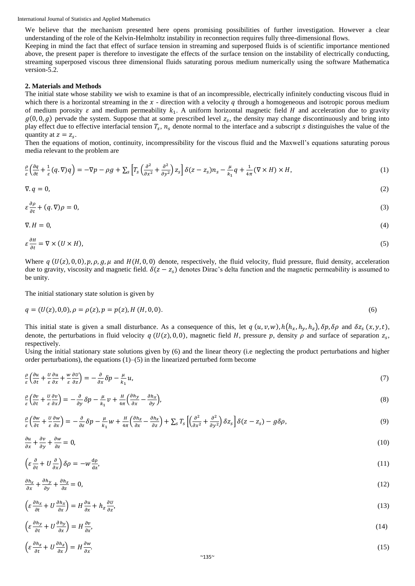We believe that the mechanism presented here opens promising possibilities of further investigation. However a clear understanding of the role of the Kelvin-Helmholtz instability in reconnection requires fully three-dimensional flows.

Keeping in mind the fact that effect of surface tension in streaming and superposed fluids is of scientific importance mentioned above, the present paper is therefore to investigate the effects of the surface tension on the instability of electrically conducting, streaming superposed viscous three dimensional fluids saturating porous medium numerically using the software Mathematica version-5.2.

# **2. Materials and Methods**

The initial state whose stability we wish to examine is that of an incompressible, electrically infinitely conducting viscous fluid in which there is a horizontal streaming in the  $x$  - direction with a velocity  $q$  through a homogeneous and isotropic porous medium of medium porosity  $\varepsilon$  and medium permeability  $k_1$ . A uniform horizontal magnetic field H and acceleration due to gravity  $g(0, 0, g)$  pervade the system. Suppose that at some prescribed level  $z_s$ , the density may change discontinuously and bring into play effect due to effective interfacial tension  $T_s$ ,  $n_s$  denote normal to the interface and a subscript s distinguishes the value of the quantity at  $z = z_s$ .

Then the equations of motion, continuity, incompressibility for the viscous fluid and the Maxwell's equations saturating porous media relevant to the problem are

$$
\frac{\rho}{\varepsilon} \left( \frac{\partial q}{\partial t} + \frac{1}{\varepsilon} (q, \nabla) q \right) = -\nabla p - \rho g + \sum_{s} \left[ T_s \left( \frac{\partial^2}{\partial x^2} + \frac{\partial^2}{\partial y^2} \right) z_s \right] \delta(z - z_s) n_s - \frac{\mu}{k_1} q + \frac{1}{4\pi} (\nabla \times H) \times H,
$$
\n(1)

$$
\nabla \cdot q = 0,\tag{2}
$$

$$
\varepsilon \frac{\partial \rho}{\partial t} + (q, \nabla)\rho = 0,\tag{3}
$$

$$
\nabla \cdot H = 0,\tag{4}
$$

$$
\varepsilon \frac{\partial H}{\partial t} = \nabla \times (U \times H),\tag{5}
$$

Where  $q(U(z), 0, 0)$ ,  $p, \rho, g, \mu$  and  $H(H, 0, 0)$  denote, respectively, the fluid velocity, fluid pressure, fluid density, acceleration due to gravity, viscosity and magnetic field.  $\delta(z-z_s)$  denotes Dirac's delta function and the magnetic permeability is assumed to be unity.

The initial stationary state solution is given by

$$
q = (U(z), 0, 0), \rho = \rho(z), p = p(z), H(H, 0, 0).
$$
\n<sup>(6)</sup>

This initial state is given a small disturbance. As a consequence of this, let  $q(u, v, w)$ ,  $h(h_x, h_y, h_z)$ ,  $\delta p$ ,  $\delta \rho$  and  $\delta z_s(x, y, t)$ , denote, the perturbations in fluid velocity  $q(U(z), 0, 0)$ , magnetic field H, pressure p, density  $\rho$  and surface of separation  $z_s$ , respectively.

Using the initial stationary state solutions given by (6) and the linear theory (i.e neglecting the product perturbations and higher order perturbations), the equations  $(1)$ – $(5)$  in the linearized perturbed form become

$$
\frac{\rho}{\varepsilon} \left( \frac{\partial u}{\partial t} + \frac{u}{\varepsilon} \frac{\partial u}{\partial x} + \frac{w}{\varepsilon} \frac{\partial u}{\partial x} \right) = -\frac{\partial}{\partial x} \delta p - \frac{\mu}{k_1} u,
$$
\n(7)

$$
\frac{\rho}{\varepsilon} \left( \frac{\partial v}{\partial t} + \frac{U}{\varepsilon} \frac{\partial v}{\partial x} \right) = -\frac{\partial}{\partial y} \delta p - \frac{\mu}{k_1} v + \frac{H}{4\pi} \left( \frac{\partial h_y}{\partial x} - \frac{\partial h_x}{\partial y} \right),\tag{8}
$$

$$
\frac{\rho}{\varepsilon} \left( \frac{\partial w}{\partial t} + \frac{u}{\varepsilon} \frac{\partial w}{\partial x} \right) = -\frac{\partial}{\partial z} \delta p - \frac{\mu}{k_1} w + \frac{H}{4\pi} \left( \frac{\partial h_z}{\partial x} - \frac{\partial h_x}{\partial z} \right) + \sum_s T_s \left[ \left( \frac{\partial^2}{\partial x^2} + \frac{\partial^2}{\partial y^2} \right) \delta z_s \right] \delta(z - z_s) - g \delta \rho, \tag{9}
$$

$$
\frac{\partial u}{\partial x} + \frac{\partial v}{\partial y} + \frac{\partial w}{\partial z} = 0,\tag{10}
$$

$$
\left(\varepsilon \frac{\partial}{\partial t} + U \frac{\partial}{\partial x}\right) \delta \rho = -w \frac{d\rho}{dz},\tag{11}
$$

$$
\frac{\partial h_x}{\partial x} + \frac{\partial h_y}{\partial y} + \frac{\partial h_z}{\partial z} = 0,\tag{12}
$$

$$
\left(\varepsilon \frac{\partial h_x}{\partial t} + U \frac{\partial h_x}{\partial x}\right) = H \frac{\partial u}{\partial x} + h_z \frac{\partial u}{\partial z},\tag{13}
$$

$$
\left(\varepsilon \frac{\partial h_y}{\partial t} + U \frac{\partial h_y}{\partial x}\right) = H \frac{\partial v}{\partial x},\tag{14}
$$

$$
\left(\varepsilon \frac{\partial h_z}{\partial t} + U \frac{\partial h_z}{\partial x}\right) = H \frac{\partial w}{\partial x}.
$$
\n(15)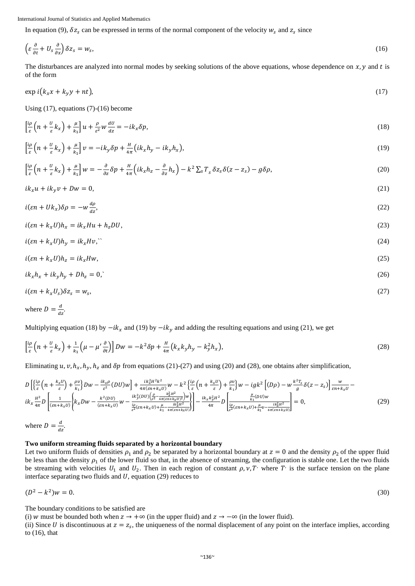In equation (9),  $\delta z_s$  can be expressed in terms of the normal component of the velocity  $w_s$  and  $z_s$  since

$$
\left(\varepsilon \frac{\partial}{\partial t} + U_s \frac{\partial}{\partial x}\right) \delta z_s = w_s,\tag{16}
$$

The disturbances are analyzed into normal modes by seeking solutions of the above equations, whose dependence on  $x, y$  and t is of the form

$$
\exp i(k_x x + k_y y + nt),\tag{17}
$$

Using (17), equations (7)-(16) become

$$
\left[\frac{i\rho}{\varepsilon}\left(n+\frac{U}{\varepsilon}k_x\right)+\frac{\mu}{k_1}\right]u+\frac{\rho}{\varepsilon^2}w\frac{dU}{dz}=-ik_x\delta p,\tag{18}
$$

$$
\left[\frac{i\rho}{\varepsilon}\left(n+\frac{v}{\varepsilon}k_x\right)+\frac{\mu}{k_1}\right]v=-ik_y\delta p+\frac{H}{4\pi}\left(ik_xh_y-ik_yh_x\right),\tag{19}
$$

$$
\left[\frac{i\rho}{\varepsilon}\left(n+\frac{U}{\varepsilon}k_x\right)+\frac{\mu}{k_1}\right]w=-\frac{\partial}{\partial z}\delta p+\frac{H}{4\pi}\left(ik_xh_z-\frac{\partial}{\partial z}h_x\right)-k^2\sum_{s}T_s\delta z_s\delta(z-z_s)-g\delta\rho,\tag{20}
$$

$$
ik_xu + ik_yv + Dw = 0,\t\t(21)
$$

$$
i(\varepsilon n + U k_x) \delta \rho = -w \frac{d\rho}{dz},\tag{22}
$$

$$
i(\varepsilon n + k_x U)h_x = ik_x Hu + h_zDU,
$$
\n(23)

$$
i(\varepsilon n + k_x U)h_y = ik_x Hv, \tag{24}
$$

$$
i(\varepsilon n + k_x U)h_z = ik_x H w,\tag{25}
$$

$$
ik_xh_x + ik_yh_y + Dh_z = 0,\t\t(26)
$$

$$
i(\varepsilon n + k_x U_s) \delta z_s = w_s,\tag{27}
$$

where 
$$
D = \frac{d}{dz}
$$
.

Multiplying equation (18) by  $-ik_x$  and (19) by  $-ik_y$  and adding the resulting equations and using (21), we get

$$
\left[\frac{i\rho}{\varepsilon}\left(n+\frac{U}{\varepsilon}k_x\right)+\frac{1}{k_1}\left(\mu-\mu'\frac{\partial}{\partial t}\right)\right]Dw=-k^2\delta p+\frac{H}{4\pi}\left(k_xk_yh_y-k_y^2h_x\right),\tag{28}
$$

Eliminating  $u, v, h_x, h_y, h_z$  and  $\delta p$  from equations (21)-(27) and using (20) and (28), one obtains after simplification,

$$
D\left[\left\{\frac{i\rho}{\varepsilon}\left(n+\frac{k_{x}U}{\varepsilon}\right)+\frac{\rho v}{k_{1}}\right\}Dw-\frac{ik_{x}\rho}{\varepsilon^{2}}(DU)w\right]+\frac{ik_{x}^{2}H^{2}k^{2}}{4\pi(\varepsilon n+k_{x}U)}w-k^{2}\left\{\frac{i\rho}{\varepsilon}\left(n+\frac{k_{x}U}{\varepsilon}\right)+\frac{\rho v}{k_{1}}\right\}w-igk^{2}\left[(D\rho)-w\frac{k^{2}\Gamma_{S}}{g}\delta(z-z_{s})\right]\frac{w}{\varepsilon n+k_{x}U}-ik_{x}^{2}\left[(D\rho)-g\frac{k^{2}\Gamma_{S}}{g}\delta(z-z_{s})\right]\frac{w}{\varepsilon n+k_{x}U}+ik_{x}^{2}(\frac{U}{\varepsilon^{2}})-ik_{x}^{2}(\frac{U}{\varepsilon^{2}})}w-\frac{ik_{x}^{2}(DU)w}{\frac{i\rho}{\varepsilon^{2}}(\varepsilon n+k_{x}U)+\frac{\mu}{k_{1}}-\frac{ik_{x}^{2}H^{2}}{4\pi(\varepsilon n+k_{x}U)}\right]-\frac{ik_{x}k_{y}^{2}H^{2}}{4\pi}D\left[\frac{\frac{\mu}{k_{1}}(DU)w}{\varepsilon^{2}(\varepsilon n+k_{x}U)+\frac{\mu}{k_{1}}-\frac{ik_{x}^{2}H^{2}}{4\pi(\varepsilon n+k_{x}U)}\right]=0,
$$
\n(29)

where  $D = \frac{d}{dx}$  $\frac{u}{dz}$ .

# **Two uniform streaming fluids separated by a horizontal boundary**

Let two uniform fluids of densities  $\rho_1$  and  $\rho_2$  be separated by a horizontal boundary at  $z = 0$  and the density  $\rho_2$  of the upper fluid be less than the density  $\rho_1$  of the lower fluid so that, in the absence of streaming, the configuration is stable one. Let the two fluids be streaming with velocities  $U_1$  and  $U_2$ . Then in each region of constant  $\rho, \nu, T'$  where  $T'$  is the surface tension on the plane interface separating two fluids and  $U$ , equation (29) reduces to

$$
(D^2 - k^2)w = 0. \t\t(30)
$$

The boundary conditions to be satisfied are

(i) w must be bounded both when  $z \to +\infty$  (in the upper fluid) and  $z \to -\infty$  (in the lower fluid).

(ii) Since U is discontinuous at  $z = z_s$ , the uniqueness of the normal displacement of any point on the interface implies, according to (16), that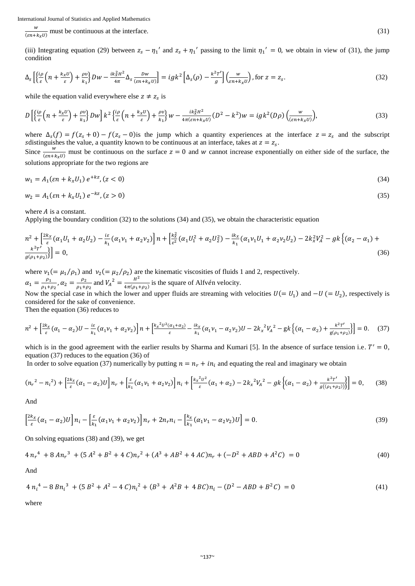w  $\frac{w}{(\epsilon n + k_x U)}$  must be continuous at the interface. (31)

(iii) Integrating equation (29) between  $z_s - \eta_1'$  and  $z_s + \eta_1'$  passing to the limit  $\eta_1' = 0$ , we obtain in view of (31), the jump condition

$$
\Delta_{s}\left[\left\{\frac{i\rho}{\varepsilon}\left(n+\frac{k_{x}U}{\varepsilon}\right)+\frac{\rho v}{k_{1}}\right\}Dw-\frac{ik_{x}^{2}H^{2}}{4\pi}\Delta_{s}\frac{Dw}{(\varepsilon n+k_{x}U)}\right]=igk^{2}\left[\Delta_{s}(\rho)-\frac{k^{2}T'}{g}\right]\left(\frac{w}{\varepsilon n+k_{x}U}\right),\text{ for }z=z_{s}.\tag{32}
$$

while the equation valid everywhere else  $z \neq z_s$  is

$$
D\left[\left\{\frac{i\rho}{\varepsilon}\left(n+\frac{k_xU}{\varepsilon}\right)+\frac{\rho v}{k_1}\right\}Dw\right]k^2\left\{\frac{i\rho}{\varepsilon}\left(n+\frac{k_xU}{\varepsilon}\right)+\frac{\rho v}{k_1}\right\}w-\frac{ik_x^2H^2}{4\pi(\varepsilon n+k_xU)}(D^2-k^2)w=igk^2(D\rho)\left(\frac{w}{(\varepsilon n+k_xU)}\right),\tag{33}
$$

where  $\Delta_s(f) = f(z_s + 0) - f(z_s - 0)$  is the jump which a quantity experiences at the interface  $z = z_s$  and the subscript sdistinguishes the value, a quantity known to be continuous at an interface, takes at  $z = z_s$ . Since  $\frac{w}{(\epsilon n + k_x U)}$  must be continuous on the surface  $z = 0$  and w cannot increase exponentially on either side of the surface, the solutions appropriate for the two regions are

$$
w_1 = A_1(\varepsilon n + k_x U_1) e^{+kz}, (z < 0)
$$
\n<sup>(34)</sup>

$$
w_2 = A_1(\varepsilon n + k_x U_1) e^{-kz}, (z > 0)
$$
\n(35)

where  $A$  is a constant.

Applying the boundary condition (32) to the solutions (34) and (35), we obtain the characteristic equation

$$
n^{2} + \left[\frac{2k_{x}}{\varepsilon}(\alpha_{1}U_{1} + \alpha_{2}U_{2}) - \frac{i\varepsilon}{k_{1}}(\alpha_{1}\nu_{1} + \alpha_{2}\nu_{2})\right]n + \left[\frac{k_{x}^{2}}{\varepsilon^{2}}(\alpha_{1}U_{1}^{2} + \alpha_{2}U_{2}^{2}) - \frac{ik_{x}}{k_{1}}(\alpha_{1}\nu_{1}U_{1} + \alpha_{2}\nu_{2}U_{2}) - 2k_{x}^{2}V_{A}^{2} - gk\left\{(\alpha_{2} - \alpha_{1}) + \frac{k^{2}T'}{g(\rho_{1} + \rho_{2})}\right\}\right] = 0,
$$
\n(36)

where  $v_1 (= \mu_1/\rho_1)$  and  $v_2 (= \mu_2/\rho_2)$  are the kinematic viscosities of fluids 1 and 2, respectively.  $\alpha_1 = \frac{\rho_1}{\rho_1 + \rho_2}$  $\frac{\rho_1}{\rho_1+\rho_2}$ ,  $\alpha_2 = \frac{\rho_2}{\rho_1+\rho_2}$  $\frac{\rho_2}{\rho_1 + \rho_2}$  and  $V_A^2 = \frac{H^2}{4\pi(\rho_1 + \rho_2)}$  $\frac{n}{4\pi(\rho_1+\rho_2)}$  is the square of Alfvén velocity.

Now the special case in which the lower and upper fluids are streaming with velocities  $U(= U_1)$  and  $-U = U_2$ ), respectively is considered for the sake of convenience.

Then the equation (36) reduces to

$$
n^{2} + \left[\frac{2k_{x}}{\varepsilon}(\alpha_{1} - \alpha_{2})U - \frac{i\varepsilon}{k_{1}}(\alpha_{1}\nu_{1} + \alpha_{2}\nu_{2})\right]n + \left[\frac{k_{x}^{2}U^{2}(\alpha_{1} + \alpha_{2})}{\varepsilon} - \frac{ik_{x}}{k_{1}}(\alpha_{1}\nu_{1} - \alpha_{2}\nu_{2})U - 2k_{x}^{2}V_{A}^{2} - gk\left\{(\alpha_{1} - \alpha_{2}) + \frac{k^{2}T'}{g(\rho_{1} + \rho_{2})}\right\}\right] = 0.
$$
 (37)

which is in the good agreement with the earlier results by Sharma and Kumari [5]. In the absence of surface tension i.e.  $T' = 0$ , equation (37) reduces to the equation (36) of

In order to solve equation (37) numerically by putting  $n = n_r + in_i$  and equating the real and imaginary we obtain

$$
(n_r^2 - n_i^2) + \left[\frac{2k_x}{\varepsilon}(\alpha_1 - \alpha_2)U\right]n_r + \left[\frac{\varepsilon}{k_1}(\alpha_1\nu_1 + \alpha_2\nu_2)\right]n_i + \left[\frac{k_x^2v^2}{\varepsilon}(\alpha_1 + \alpha_2) - 2k_x^2V_A^2 - gk\left\{(\alpha_1 - \alpha_2) + \frac{k^2T'}{g((\rho_1 + \rho_2))}\right\}\right] = 0,\tag{38}
$$

And

$$
\left[\frac{2k_x}{\varepsilon}(\alpha_1 - \alpha_2)U\right]n_i - \left[\frac{\varepsilon}{k_1}(\alpha_1\nu_1 + \alpha_2\nu_2)\right]n_r + 2n_r n_i - \left[\frac{k_x}{k_1}(\alpha_1\nu_1 - \alpha_2\nu_2)U\right] = 0.
$$
\n(39)

On solving equations (38) and (39), we get

$$
4 n_r^4 + 8 A n_r^3 + (5 A^2 + B^2 + 4 C) n_r^2 + (A^3 + AB^2 + 4 AC) n_r + (-D^2 + ABD + A^2C) = 0
$$
\n<sup>(40)</sup>

And

$$
4 n_i^4 - 8 B n_i^3 + (5 B^2 + A^2 - 4 C) n_i^2 + (B^3 + A^2 B + 4 B C) n_i - (D^2 - A B D + B^2 C) = 0
$$
\n<sup>(41)</sup>

where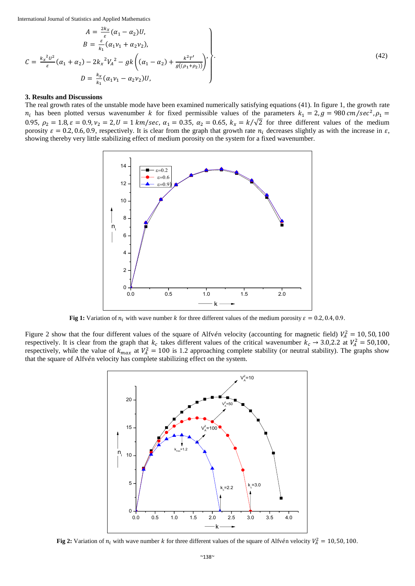$$
A = \frac{2k_x}{\varepsilon} (\alpha_1 - \alpha_2) U,
$$
  
\n
$$
B = \frac{\varepsilon}{k_1} (\alpha_1 v_1 + \alpha_2 v_2),
$$
  
\n
$$
C = \frac{k_x^2 U^2}{\varepsilon} (\alpha_1 + \alpha_2) - 2k_x^2 V_A^2 - g k \left( (\alpha_1 - \alpha_2) + \frac{k^2 T'}{g((\rho_1 + \rho_2))} \right),
$$
  
\n
$$
D = \frac{k_x}{k_1} (\alpha_1 v_1 - \alpha_2 v_2) U,
$$
\n(42)

#### **3. Results and Discussions**

The real growth rates of the unstable mode have been examined numerically satisfying equations (41). In figure 1, the growth rate  $n_i$  has been plotted versus wavenumber k for fixed permissible values of the parameters  $k_1 = 2$ ,  $g = 980$  cm/sec<sup>2</sup>,  $\rho_1 =$ 0.95,  $\rho_2 = 1.8$ ,  $\varepsilon = 0.9$ ,  $v_2 = 2$ ,  $U = 1$  km/sec,  $\alpha_1 = 0.35$ ,  $\alpha_2 = 0.65$ ,  $k_x = k/\sqrt{2}$  for three different values of the medium porosity  $\varepsilon = 0.2, 0.6, 0.9$ , respectively. It is clear from the graph that growth rate  $n_i$  decreases slightly as with the increase in  $\varepsilon$ , showing thereby very little stabilizing effect of medium porosity on the system for a fixed wavenumber.



**Fig 1:** Variation of  $n_i$  with wave number k for three different values of the medium porosity  $\varepsilon = 0.2, 0.4, 0.9$ .

Figure 2 show that the four different values of the square of Alfvén velocity (accounting for magnetic field)  $V_A^2 = 10, 50, 100$ respectively. It is clear from the graph that  $k_c$  takes different values of the critical wavenumber  $k_c \to 3.0,2.2$  at  $V_A^2 = 50,100$ , respectively, while the value of  $k_{max}$  at  $V_A^2 = 100$  is 1.2 approaching complete stability (or neutral stability). The graphs show that the square of Alfvén velocity has complete stabilizing effect on the system.



**Fig 2:** Variation of  $n_i$  with wave number k for three different values of the square of Alfvén velocity  $V_A^2 = 10, 50, 100$ .